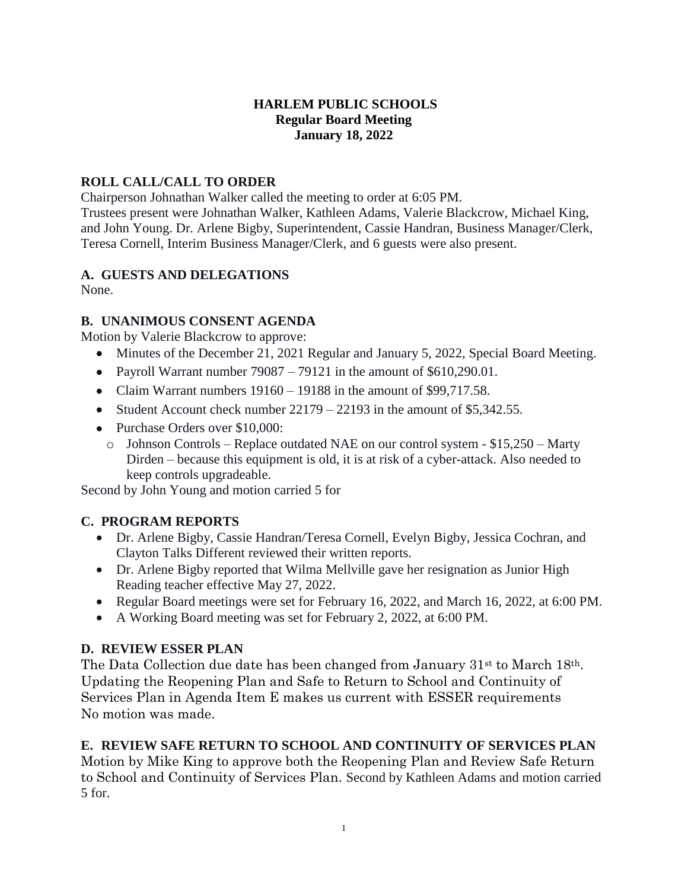# **HARLEM PUBLIC SCHOOLS Regular Board Meeting January 18, 2022**

# **ROLL CALL/CALL TO ORDER**

Chairperson Johnathan Walker called the meeting to order at 6:05 PM.

Trustees present were Johnathan Walker, Kathleen Adams, Valerie Blackcrow, Michael King, and John Young. Dr. Arlene Bigby, Superintendent, Cassie Handran, Business Manager/Clerk, Teresa Cornell, Interim Business Manager/Clerk, and 6 guests were also present.

# **A. GUESTS AND DELEGATIONS**

None.

# **B. UNANIMOUS CONSENT AGENDA**

Motion by Valerie Blackcrow to approve:

- Minutes of the December 21, 2021 Regular and January 5, 2022, Special Board Meeting.
- Payroll Warrant number  $79087 79121$  in the amount of \$610,290.01.
- Claim Warrant numbers  $19160 19188$  in the amount of \$99,717.58.
- Student Account check number  $22179 22193$  in the amount of \$5,342.55.
- Purchase Orders over \$10,000:
	- o Johnson Controls Replace outdated NAE on our control system \$15,250 Marty Dirden – because this equipment is old, it is at risk of a cyber-attack. Also needed to keep controls upgradeable.

Second by John Young and motion carried 5 for

# **C. PROGRAM REPORTS**

- Dr. Arlene Bigby, Cassie Handran/Teresa Cornell, Evelyn Bigby, Jessica Cochran, and Clayton Talks Different reviewed their written reports.
- Dr. Arlene Bigby reported that Wilma Mellville gave her resignation as Junior High Reading teacher effective May 27, 2022.
- Regular Board meetings were set for February 16, 2022, and March 16, 2022, at 6:00 PM.
- A Working Board meeting was set for February 2, 2022, at 6:00 PM.

# **D. REVIEW ESSER PLAN**

The Data Collection due date has been changed from January 31<sup>st</sup> to March 18<sup>th</sup>. Updating the Reopening Plan and Safe to Return to School and Continuity of Services Plan in Agenda Item E makes us current with ESSER requirements No motion was made.

# **E. REVIEW SAFE RETURN TO SCHOOL AND CONTINUITY OF SERVICES PLAN**

Motion by Mike King to approve both the Reopening Plan and Review Safe Return to School and Continuity of Services Plan. Second by Kathleen Adams and motion carried 5 for.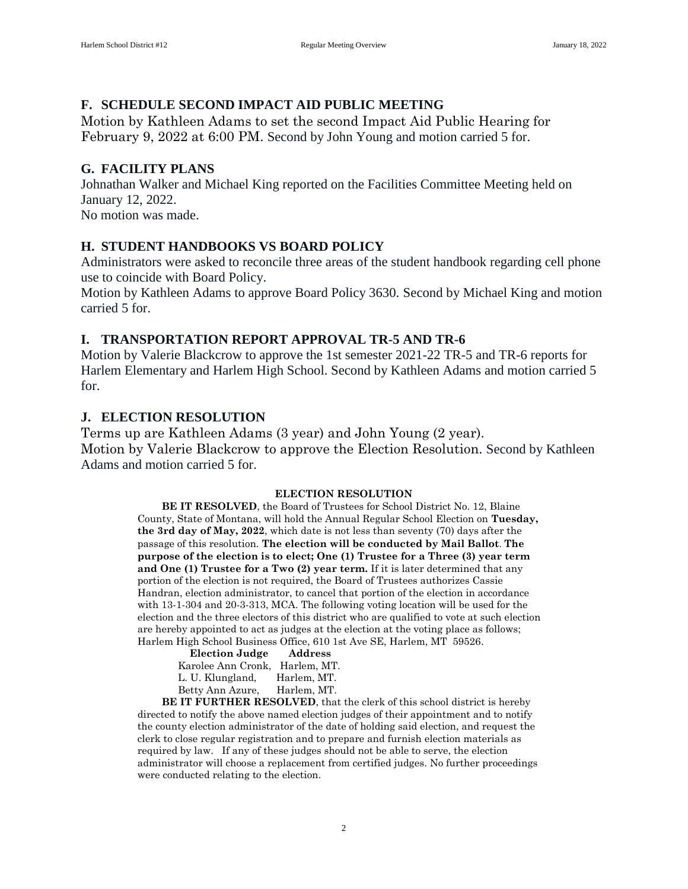## **F. SCHEDULE SECOND IMPACT AID PUBLIC MEETING**

Motion by Kathleen Adams to set the second Impact Aid Public Hearing for February 9, 2022 at 6:00 PM. Second by John Young and motion carried 5 for.

#### **G. FACILITY PLANS**

Johnathan Walker and Michael King reported on the Facilities Committee Meeting held on January 12, 2022.

No motion was made.

#### **H. STUDENT HANDBOOKS VS BOARD POLICY**

Administrators were asked to reconcile three areas of the student handbook regarding cell phone use to coincide with Board Policy.

Motion by Kathleen Adams to approve Board Policy 3630. Second by Michael King and motion carried 5 for.

### **I. TRANSPORTATION REPORT APPROVAL TR-5 AND TR-6**

Motion by Valerie Blackcrow to approve the 1st semester 2021-22 TR-5 and TR-6 reports for Harlem Elementary and Harlem High School. Second by Kathleen Adams and motion carried 5 for.

#### **J. ELECTION RESOLUTION**

Terms up are Kathleen Adams (3 year) and John Young (2 year). Motion by Valerie Blackcrow to approve the Election Resolution. Second by Kathleen Adams and motion carried 5 for.

#### **ELECTION RESOLUTION**

**BE IT RESOLVED**, the Board of Trustees for School District No. 12, Blaine County, State of Montana, will hold the Annual Regular School Election on **Tuesday, the 3rd day of May, 2022**, which date is not less than seventy (70) days after the passage of this resolution. **The election will be conducted by Mail Ballot**. **The purpose of the election is to elect; One (1) Trustee for a Three (3) year term and One (1) Trustee for a Two (2) year term.** If it is later determined that any portion of the election is not required, the Board of Trustees authorizes Cassie Handran, election administrator, to cancel that portion of the election in accordance with 13-1-304 and 20-3-313, MCA. The following voting location will be used for the election and the three electors of this district who are qualified to vote at such election are hereby appointed to act as judges at the election at the voting place as follows; Harlem High School Business Office, 610 1st Ave SE, Harlem, MT 59526.

| THEIT DUTION DUSTITESS OTHER, 010 18th |             |
|----------------------------------------|-------------|
| <b>Election Judge</b>                  | Address     |
| Karolee Ann Cronk, Harlem, MT.         |             |
| L. U. Klungland,                       | Harlem, MT. |
| Betty Ann Azure,                       | Harlem, MT. |
|                                        |             |

**BE IT FURTHER RESOLVED**, that the clerk of this school district is hereby directed to notify the above named election judges of their appointment and to notify the county election administrator of the date of holding said election, and request the clerk to close regular registration and to prepare and furnish election materials as required by law. If any of these judges should not be able to serve, the election administrator will choose a replacement from certified judges. No further proceedings were conducted relating to the election.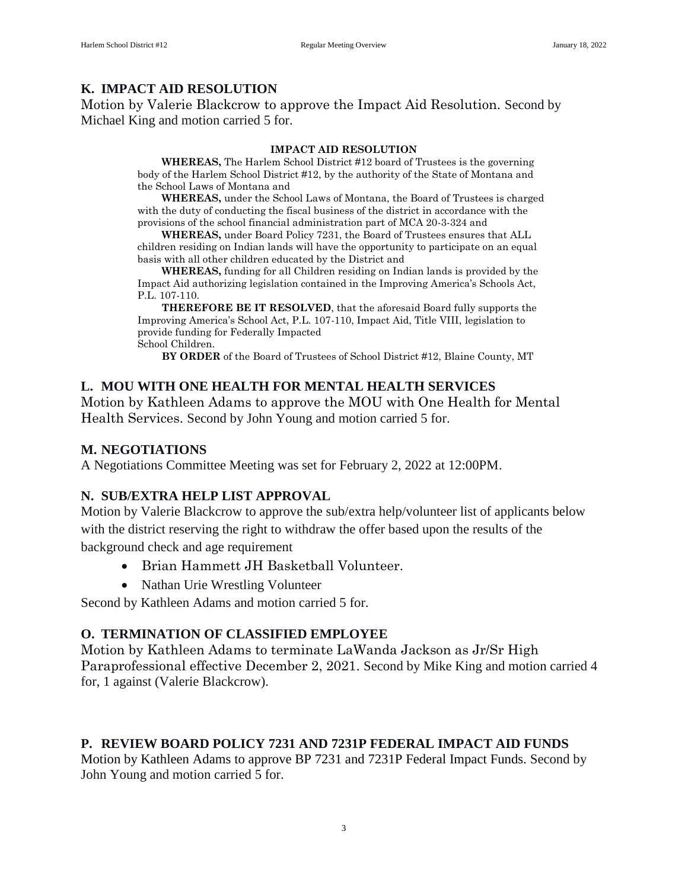# **K. IMPACT AID RESOLUTION**

Motion by Valerie Blackcrow to approve the Impact Aid Resolution. Second by Michael King and motion carried 5 for.

#### **IMPACT AID RESOLUTION**

**WHEREAS,** The Harlem School District #12 board of Trustees is the governing body of the Harlem School District #12, by the authority of the State of Montana and the School Laws of Montana and

**WHEREAS,** under the School Laws of Montana, the Board of Trustees is charged with the duty of conducting the fiscal business of the district in accordance with the provisions of the school financial administration part of MCA 20-3-324 and

**WHEREAS,** under Board Policy 7231, the Board of Trustees ensures that ALL children residing on Indian lands will have the opportunity to participate on an equal basis with all other children educated by the District and

**WHEREAS,** funding for all Children residing on Indian lands is provided by the Impact Aid authorizing legislation contained in the Improving America's Schools Act, P.L. 107-110.

**THEREFORE BE IT RESOLVED**, that the aforesaid Board fully supports the Improving America's School Act, P.L. 107-110, Impact Aid, Title VIII, legislation to provide funding for Federally Impacted School Children.

**BY ORDER** of the Board of Trustees of School District #12, Blaine County, MT

## **L. MOU WITH ONE HEALTH FOR MENTAL HEALTH SERVICES**

Motion by Kathleen Adams to approve the MOU with One Health for Mental Health Services. Second by John Young and motion carried 5 for.

### **M. NEGOTIATIONS**

A Negotiations Committee Meeting was set for February 2, 2022 at 12:00PM.

## **N. SUB/EXTRA HELP LIST APPROVAL**

Motion by Valerie Blackcrow to approve the sub/extra help/volunteer list of applicants below with the district reserving the right to withdraw the offer based upon the results of the background check and age requirement

- Brian Hammett JH Basketball Volunteer.
- Nathan Urie Wrestling Volunteer

Second by Kathleen Adams and motion carried 5 for.

## **O. TERMINATION OF CLASSIFIED EMPLOYEE**

Motion by Kathleen Adams to terminate LaWanda Jackson as Jr/Sr High Paraprofessional effective December 2, 2021. Second by Mike King and motion carried 4 for, 1 against (Valerie Blackcrow).

## **P. REVIEW BOARD POLICY 7231 AND 7231P FEDERAL IMPACT AID FUNDS**

Motion by Kathleen Adams to approve BP 7231 and 7231P Federal Impact Funds. Second by John Young and motion carried 5 for.